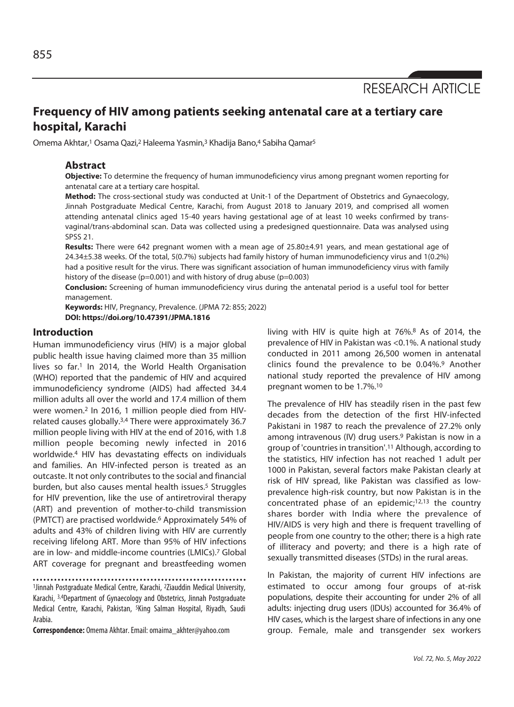RESEARCH ARTICLE

# **Frequency of HIV among patients seeking antenatal care at a tertiary care hospital, Karachi**

Omema Akhtar,<sup>1</sup> Osama Qazi,<sup>2</sup> Haleema Yasmin,<sup>3</sup> Khadija Bano,<sup>4</sup> Sabiha Qamar<sup>5</sup>

### **Abstract**

**Objective:** To determine the frequency of human immunodeficiency virus among pregnant women reporting for antenatal care at a tertiary care hospital.

**Method:** The cross-sectional study was conducted at Unit-1 of the Department of Obstetrics and Gynaecology, Jinnah Postgraduate Medical Centre, Karachi, from August 2018 to January 2019, and comprised all women attending antenatal clinics aged 15-40 years having gestational age of at least 10 weeks confirmed by transvaginal/trans-abdominal scan. Data was collected using a predesigned questionnaire. Data was analysed using SPSS 21.

**Results:** There were 642 pregnant women with a mean age of 25.80±4.91 years, and mean gestational age of 24.34±5.38 weeks. Of the total, 5(0.7%) subjects had family history of human immunodeficiency virus and 1(0.2%) had a positive result for the virus. There was significant association of human immunodeficiency virus with family history of the disease ( $p=0.001$ ) and with history of drug abuse ( $p=0.003$ )

**Conclusion:** Screening of human immunodeficiency virus during the antenatal period is a useful tool for better management.

**Keywords:** HIV, Pregnancy, Prevalence. (JPMA 72: 855; 2022) **DOI: https://doi.org/10.47391/JPMA.1816** 

### **Introduction**

Human immunodeficiency virus (HIV) is a major global public health issue having claimed more than 35 million lives so far.1 In 2014, the World Health Organisation (WHO) reported that the pandemic of HIV and acquired immunodeficiency syndrome (AIDS) had affected 34.4 million adults all over the world and 17.4 million of them were women.2 In 2016, 1 million people died from HIVrelated causes globally.3,4 There were approximately 36.7 million people living with HIV at the end of 2016, with 1.8 million people becoming newly infected in 2016 worldwide.4 HIV has devastating effects on individuals and families. An HIV-infected person is treated as an outcaste. It not only contributes to the social and financial burden, but also causes mental health issues.<sup>5</sup> Struggles for HIV prevention, like the use of antiretroviral therapy (ART) and prevention of mother-to-child transmission (PMTCT) are practised worldwide.6 Approximately 54% of adults and 43% of children living with HIV are currently receiving lifelong ART. More than 95% of HIV infections are in low- and middle-income countries (LMICs).7 Global ART coverage for pregnant and breastfeeding women

1Jinnah Postgraduate Medical Centre, Karachi, <sup>2</sup>Ziauddin Medical University, Karachi, 3,4Department of Gynaecology and Obstetrics, Jinnah Postgraduate Medical Centre, Karachi, Pakistan, 5King Salman Hospital, Riyadh, Saudi Arabia.

**Correspondence:** Omema Akhtar. Email: omaima\_akhter@yahoo.com

living with HIV is quite high at 76%.8 As of 2014, the prevalence of HIV in Pakistan was <0.1%. A national study conducted in 2011 among 26,500 women in antenatal clinics found the prevalence to be 0.04%.9 Another national study reported the prevalence of HIV among pregnant women to be 1.7%.10

The prevalence of HIV has steadily risen in the past few decades from the detection of the first HIV-infected Pakistani in 1987 to reach the prevalence of 27.2% only among intravenous (IV) drug users.<sup>9</sup> Pakistan is now in a group of 'countries in transition'.11 Although, according to the statistics, HIV infection has not reached 1 adult per 1000 in Pakistan, several factors make Pakistan clearly at risk of HIV spread, like Pakistan was classified as lowprevalence high-risk country, but now Pakistan is in the concentrated phase of an epidemic;12,13 the country shares border with India where the prevalence of HIV/AIDS is very high and there is frequent travelling of people from one country to the other; there is a high rate of illiteracy and poverty; and there is a high rate of sexually transmitted diseases (STDs) in the rural areas.

In Pakistan, the majority of current HIV infections are estimated to occur among four groups of at-risk populations, despite their accounting for under 2% of all adults: injecting drug users (IDUs) accounted for 36.4% of HIV cases, which is the largest share of infections in any one group. Female, male and transgender sex workers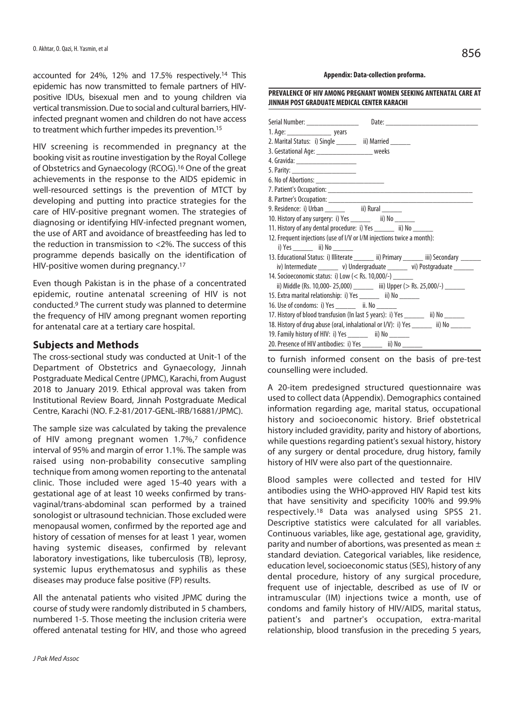accounted for 24%, 12% and 17.5% respectively.14 This epidemic has now transmitted to female partners of HIVpositive IDUs, bisexual men and to young children via vertical transmission. Due to social and cultural barriers, HIVinfected pregnant women and children do not have access to treatment which further impedes its prevention.15

HIV screening is recommended in pregnancy at the booking visit as routine investigation by the Royal College of Obstetrics and Gynaecology (RCOG).16 One of the great achievements in the response to the AIDS epidemic in well-resourced settings is the prevention of MTCT by developing and putting into practice strategies for the care of HIV-positive pregnant women. The strategies of diagnosing or identifying HIV-infected pregnant women, the use of ART and avoidance of breastfeeding has led to the reduction in transmission to <2%. The success of this programme depends basically on the identification of HIV-positive women during pregnancy.17

Even though Pakistan is in the phase of a concentrated epidemic, routine antenatal screening of HIV is not conducted.9 The current study was planned to determine the frequency of HIV among pregnant women reporting for antenatal care at a tertiary care hospital.

## **Subjects and Methods**

The cross-sectional study was conducted at Unit-1 of the Department of Obstetrics and Gynaecology, Jinnah Postgraduate Medical Centre (JPMC), Karachi, from August 2018 to January 2019. Ethical approval was taken from Institutional Review Board, Jinnah Postgraduate Medical Centre, Karachi (NO. F.2-81/2017-GENL-IRB/16881/JPMC).

The sample size was calculated by taking the prevalence of HIV among pregnant women 1.7%,7 confidence interval of 95% and margin of error 1.1%. The sample was raised using non-probability consecutive sampling technique from among women reporting to the antenatal clinic. Those included were aged 15-40 years with a gestational age of at least 10 weeks confirmed by transvaginal/trans-abdominal scan performed by a trained sonologist or ultrasound technician. Those excluded were menopausal women, confirmed by the reported age and history of cessation of menses for at least 1 year, women having systemic diseases, confirmed by relevant laboratory investigations, like tuberculosis (TB), leprosy, systemic lupus erythematosus and syphilis as these diseases may produce false positive (FP) results.

All the antenatal patients who visited JPMC during the course of study were randomly distributed in 5 chambers, numbered 1-5. Those meeting the inclusion criteria were offered antenatal testing for HIV, and those who agreed

#### **Appendix: Data-collection proforma.**

#### **PREVALENCE OF HIV AMONG PREGNANT WOMEN SEEKING ANTENATAL CARE AT JINNAH POST GRADUATE MEDICAL CENTER KARACHI**

| Serial Number: ___________________                                                    |  |  |  |  |  |
|---------------------------------------------------------------------------------------|--|--|--|--|--|
| 1. Age: __________________________ years                                              |  |  |  |  |  |
| 2. Marital Status: i) Single ______ ii) Married ______                                |  |  |  |  |  |
|                                                                                       |  |  |  |  |  |
| 3. Gestational Age: _______________________ weeks                                     |  |  |  |  |  |
| 4. Gravida: ________________________                                                  |  |  |  |  |  |
|                                                                                       |  |  |  |  |  |
|                                                                                       |  |  |  |  |  |
|                                                                                       |  |  |  |  |  |
|                                                                                       |  |  |  |  |  |
| 9. Residence: i) Urban ________ ii) Rural ______                                      |  |  |  |  |  |
| 10. History of any surgery: i) Yes _______ ii) No ______                              |  |  |  |  |  |
| 11. History of any dental procedure: i) Yes ______ ii) No ______                      |  |  |  |  |  |
| 12. Frequent injections (use of I/V or I/M injections twice a month):                 |  |  |  |  |  |
| i) Yes ii) No                                                                         |  |  |  |  |  |
| 13. Educational Status: i) Illiterate ______ ii) Primary ______ iii) Secondary ______ |  |  |  |  |  |
| iv) Intermediate ________ v) Undergraduate _______ vi) Postgraduate ______            |  |  |  |  |  |
| 14. Socioeconomic status: i) Low $(<$ Rs. 10,000/-)                                   |  |  |  |  |  |
| ii) Middle (Rs. 10,000-25,000) ________ iii) Upper (> Rs. 25,000/-) ______            |  |  |  |  |  |
| 15. Extra marital relationship: i) Yes _______ ii) No _______                         |  |  |  |  |  |
| 16. Use of condoms: i) Yes _______ ii. No ______                                      |  |  |  |  |  |
| 17. History of blood transfusion (In last 5 years): i) Yes _______ ii) No _______     |  |  |  |  |  |
| 18. History of drug abuse (oral, inhalational or I/V): i) Yes ______ ii) No ______    |  |  |  |  |  |
| 19. Family history of HIV: i) Yes _______ ii) No _______                              |  |  |  |  |  |
| 20. Presence of HIV antibodies: i) Yes _______ ii) No _______                         |  |  |  |  |  |

to furnish informed consent on the basis of pre-test counselling were included.

A 20-item predesigned structured questionnaire was used to collect data (Appendix). Demographics contained information regarding age, marital status, occupational history and socioeconomic history. Brief obstetrical history included gravidity, parity and history of abortions, while questions regarding patient's sexual history, history of any surgery or dental procedure, drug history, family history of HIV were also part of the questionnaire.

Blood samples were collected and tested for HIV antibodies using the WHO-approved HIV Rapid test kits that have sensitivity and specificity 100% and 99.9% respectively.18 Data was analysed using SPSS 21. Descriptive statistics were calculated for all variables. Continuous variables, like age, gestational age, gravidity, parity and number of abortions, was presented as mean  $\pm$ standard deviation. Categorical variables, like residence, education level, socioeconomic status (SES), history of any dental procedure, history of any surgical procedure, frequent use of injectable, described as use of IV or intramuscular (IM) injections twice a month, use of condoms and family history of HIV/AIDS, marital status, patient's and partner's occupation, extra-marital relationship, blood transfusion in the preceding 5 years,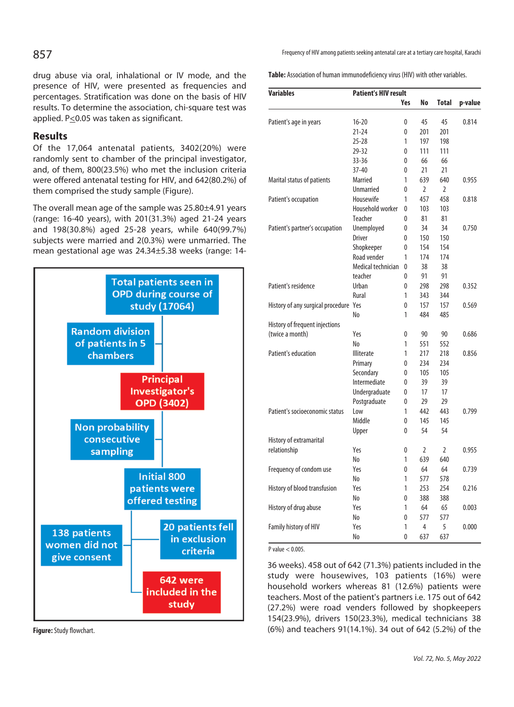drug abuse via oral, inhalational or IV mode, and the presence of HIV, were presented as frequencies and percentages. Stratification was done on the basis of HIV results. To determine the association, chi-square test was applied.  $P \le 0.05$  was taken as significant.

## **Results**

Of the 17,064 antenatal patients, 3402(20%) were randomly sent to chamber of the principal investigator, and, of them, 800(23.5%) who met the inclusion criteria were offered antenatal testing for HIV, and 642(80.2%) of them comprised the study sample (Figure).

The overall mean age of the sample was 25.80±4.91 years (range: 16-40 years), with 201(31.3%) aged 21-24 years and 198(30.8%) aged 25-28 years, while 640(99.7%) subjects were married and 2(0.3%) were unmarried. The mean gestational age was 24.34±5.38 weeks (range: 14-



**Figure:** Study flowchart.

 $857$  Frequency of HIV among patients seeking antenatal care at a tertiary care hospital, Karachi

**Table:** Association of human immunodeficiency virus (HIV) with other variables.

| <b>Variables</b>                      | <b>Patient's HIV result</b> |     |                |                |         |
|---------------------------------------|-----------------------------|-----|----------------|----------------|---------|
|                                       |                             | Yes | No             | <b>Total</b>   | p-value |
| Patient's age in years                | $16 - 20$                   | 0   | 45             | 45             | 0.814   |
|                                       | $21 - 24$                   | 0   | 201            | 201            |         |
|                                       | $25 - 28$                   | 1   | 197            | 198            |         |
|                                       | 29-32                       | 0   | 111            | 111            |         |
|                                       | $33 - 36$                   | 0   | 66             | 66             |         |
|                                       | $37 - 40$                   | 0   | 21             | 21             |         |
| Marital status of patients            | Married                     | 1   | 639            | 640            | 0.955   |
|                                       | <b>Unmarried</b>            | 0   | $\overline{2}$ | $\overline{2}$ |         |
| Patient's occupation                  | Housewife                   | 1   | 457            | 458            | 0.818   |
|                                       | Household worker            | 0   | 103            | 103            |         |
|                                       | Teacher                     | 0   | 81             | 81             |         |
| Patient's partner's occupation        | Unemployed                  | 0   | 34             | 34             | 0.750   |
|                                       | <b>Driver</b>               | 0   | 150            | 150            |         |
|                                       | Shopkeeper                  | 0   | 154            | 154            |         |
|                                       | Road vender                 | 1   | 174            | 174            |         |
|                                       | Medical technician          | 0   | 38             | 38             |         |
|                                       | teacher                     | 0   | 91             | 91             |         |
| Patient's residence                   | Urban                       | 0   | 298            | 298            | 0.352   |
|                                       | Rural                       | 1   | 343            | 344            |         |
| History of any surgical procedure Yes |                             | 0   | 157            | 157            | 0.569   |
|                                       | No                          | 1   | 484            | 485            |         |
| History of frequent injections        |                             |     |                |                |         |
| (twice a month)                       | Yes                         | 0   | 90             | 90             | 0.686   |
|                                       | No                          | 1   | 551            | 552            |         |
| Patient's education                   | Illiterate                  | 1   | 217            | 218            | 0.856   |
|                                       | Primary                     | 0   | 234            | 234            |         |
|                                       | Secondary                   | 0   | 105            | 105            |         |
|                                       | Intermediate                | 0   | 39             | 39             |         |
|                                       | Undergraduate               | 0   | 17             | 17             |         |
|                                       | Postgraduate                | 0   | 29             | 29             |         |
| Patient's socioeconomic status        | Low                         | 1   | 442            | 443            | 0.799   |
|                                       | Middle                      | 0   | 145            | 145            |         |
|                                       | Upper                       | 0   | 54             | 54             |         |
| History of extramarital               |                             |     |                |                |         |
| relationship                          | Yes                         | 0   | $\overline{2}$ | $\overline{2}$ | 0.955   |
|                                       | No                          | 1   | 639            | 640            |         |
| Frequency of condom use               | Yes                         | 0   | 64             | 64             | 0.739   |
|                                       | No                          | 1   | 577            | 578            |         |
| History of blood transfusion          | Yes                         | 1   | 253            | 254            | 0.216   |
|                                       | No                          | 0   | 388            | 388            |         |
| History of drug abuse                 | Yes                         | 1   | 64             | 65             | 0.003   |
|                                       | No                          | 0   | 577            | 577            |         |
| <b>Family history of HIV</b>          | Yes                         | 1   | 4              | 5              | 0.000   |
|                                       | No                          | 0   | 637            | 637            |         |

#### P value < 0.005.

36 weeks). 458 out of 642 (71.3%) patients included in the study were housewives, 103 patients (16%) were household workers whereas 81 (12.6%) patients were teachers. Most of the patient's partners i.e. 175 out of 642 (27.2%) were road venders followed by shopkeepers 154(23.9%), drivers 150(23.3%), medical technicians 38 (6%) and teachers 91(14.1%). 34 out of 642 (5.2%) of the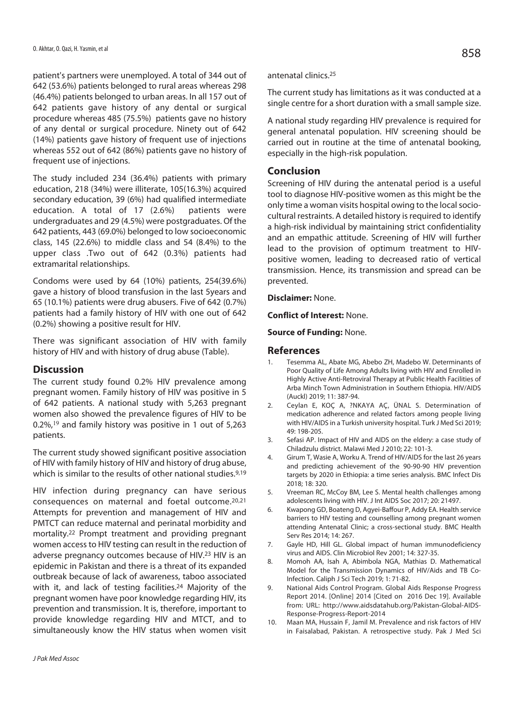patient's partners were unemployed. A total of 344 out of 642 (53.6%) patients belonged to rural areas whereas 298 (46.4%) patients belonged to urban areas. In all 157 out of 642 patients gave history of any dental or surgical procedure whereas 485 (75.5%) patients gave no history of any dental or surgical procedure. Ninety out of 642 (14%) patients gave history of frequent use of injections whereas 552 out of 642 (86%) patients gave no history of frequent use of injections.

The study included 234 (36.4%) patients with primary education, 218 (34%) were illiterate, 105(16.3%) acquired secondary education, 39 (6%) had qualified intermediate education. A total of 17 (2.6%) patients were undergraduates and 29 (4.5%) were postgraduates. Of the 642 patients, 443 (69.0%) belonged to low socioeconomic class, 145 (22.6%) to middle class and 54 (8.4%) to the upper class .Two out of 642 (0.3%) patients had extramarital relationships.

Condoms were used by 64 (10%) patients, 254(39.6%) gave a history of blood transfusion in the last 5years and 65 (10.1%) patients were drug abusers. Five of 642 (0.7%) patients had a family history of HIV with one out of 642 (0.2%) showing a positive result for HIV.

There was significant association of HIV with family history of HIV and with history of drug abuse (Table).

#### **Discussion**

The current study found 0.2% HIV prevalence among pregnant women. Family history of HIV was positive in 5 of 642 patients. A national study with 5,263 pregnant women also showed the prevalence figures of HIV to be 0.2%,<sup>19</sup> and family history was positive in 1 out of 5,263 patients.

The current study showed significant positive association of HIV with family history of HIV and history of drug abuse, which is similar to the results of other national studies.<sup>9,19</sup>

HIV infection during pregnancy can have serious consequences on maternal and foetal outcome.20,21 Attempts for prevention and management of HIV and PMTCT can reduce maternal and perinatal morbidity and mortality.22 Prompt treatment and providing pregnant women access to HIV testing can result in the reduction of adverse pregnancy outcomes because of HIV.23 HIV is an epidemic in Pakistan and there is a threat of its expanded outbreak because of lack of awareness, taboo associated with it, and lack of testing facilities.<sup>24</sup> Majority of the pregnant women have poor knowledge regarding HIV, its prevention and transmission. It is, therefore, important to provide knowledge regarding HIV and MTCT, and to simultaneously know the HIV status when women visit antenatal clinics.25

The current study has limitations as it was conducted at a single centre for a short duration with a small sample size.

A national study regarding HIV prevalence is required for general antenatal population. HIV screening should be carried out in routine at the time of antenatal booking, especially in the high-risk population.

## **Conclusion**

Screening of HIV during the antenatal period is a useful tool to diagnose HIV-positive women as this might be the only time a woman visits hospital owing to the local sociocultural restraints. A detailed history is required to identify a high-risk individual by maintaining strict confidentiality and an empathic attitude. Screening of HIV will further lead to the provision of optimum treatment to HIVpositive women, leading to decreased ratio of vertical transmission. Hence, its transmission and spread can be prevented.

**Disclaimer:** None.

**Conflict of Interest:** None.

**Source of Funding:** None.

### **References**

- 1. Tesemma AL, Abate MG, Abebo ZH, Madebo W. Determinants of Poor Quality of Life Among Adults living with HIV and Enrolled in Highly Active Anti-Retroviral Therapy at Public Health Facilities of Arba Minch Town Administration in Southern Ethiopia. HIV/AIDS (Auckl) 2019; 11: 387-94.
- 2. Ceylan E, KOÇ A, ?NKAYA AÇ, ÜNAL S. Determination of medication adherence and related factors among people living with HIV/AIDS in a Turkish university hospital. Turk J Med Sci 2019; 49: 198-205.
- 3. Sefasi AP. Impact of HIV and AIDS on the eldery: a case study of Chiladzulu district. Malawi Med J 2010; 22: 101-3.
- 4. Girum T, Wasie A, Worku A. Trend of HIV/AIDS for the last 26 years and predicting achievement of the 90-90-90 HIV prevention targets by 2020 in Ethiopia: a time series analysis. BMC Infect Dis 2018; 18: 320.
- 5. Vreeman RC, McCoy BM, Lee S. Mental health challenges among adolescents living with HIV. J Int AIDS Soc 2017; 20: 21497.
- 6. Kwapong GD, Boateng D, Agyei-Baffour P, Addy EA. Health service barriers to HIV testing and counselling among pregnant women attending Antenatal Clinic; a cross-sectional study. BMC Health Serv Res 2014; 14: 267.
- 7. Gayle HD, Hill GL. Global impact of human immunodeficiency virus and AIDS. Clin Microbiol Rev 2001; 14: 327-35.
- 8. Momoh AA, Isah A, Abimbola NGA, Mathias D. Mathematical Model for the Transmission Dynamics of HIV/Aids and TB Co-Infection. Caliph J Sci Tech 2019; 1: 71-82.
- 9. National Aids Control Program. Global Aids Response Progress Report 2014. [Online] 2014 [Cited on 2016 Dec 19]. Available from: URL: http://www.aidsdatahub.org/Pakistan-Global-AIDS-Response-Progress-Report-2014
- 10. Maan MA, Hussain F, Jamil M. Prevalence and risk factors of HIV in Faisalabad, Pakistan. A retrospective study. Pak J Med Sci